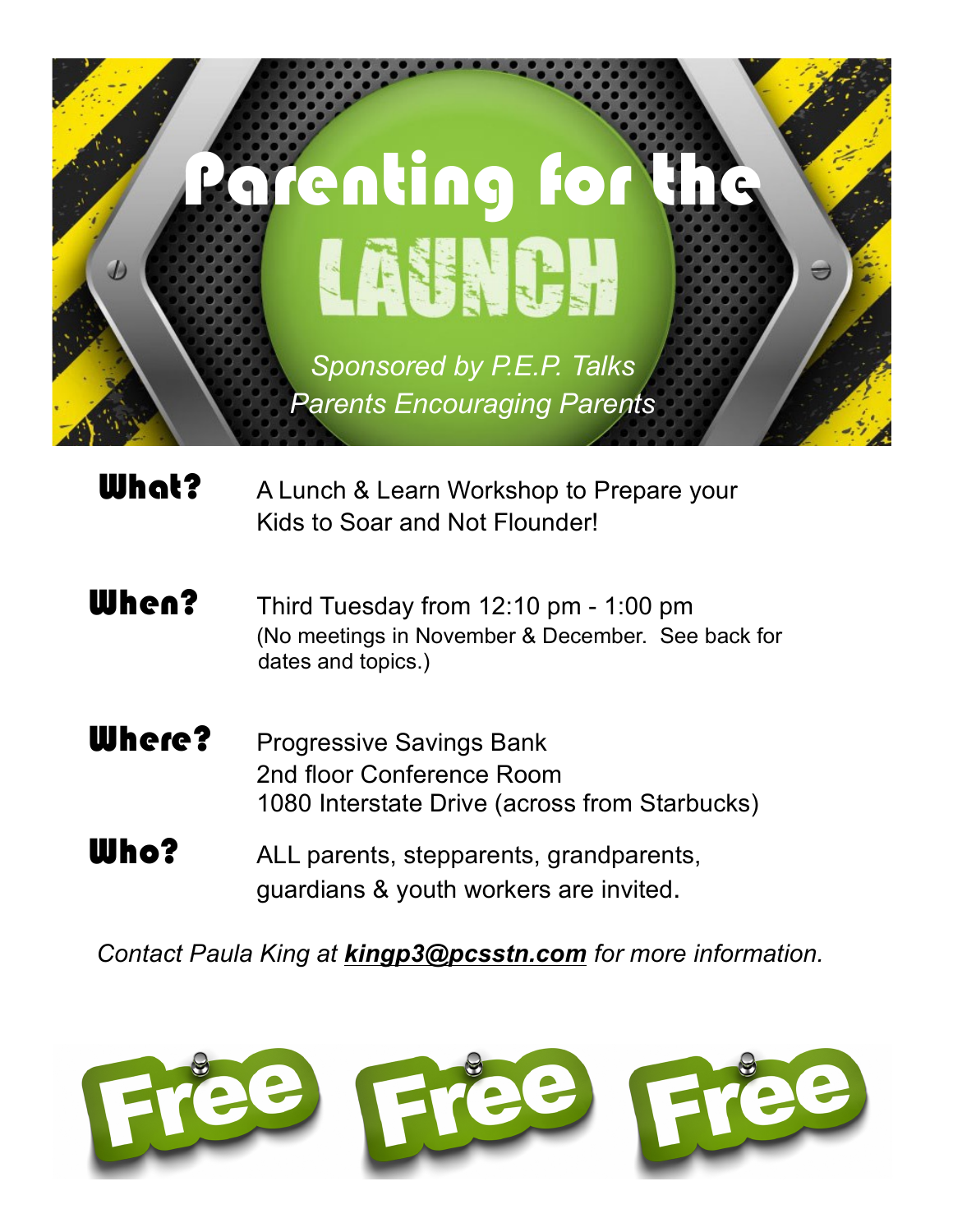

**What?** A Lunch & Learn Workshop to Prepare your Kids to Soar and Not Flounder!

- When? Third Tuesday from 12:10 pm 1:00 pm (No meetings in November & December. See back for dates and topics.)
- **Where?** Progressive Savings Bank 2nd floor Conference Room 1080 Interstate Drive (across from Starbucks)
- Who? ALL parents, stepparents, grandparents, guardians & youth workers are invited.

*Contact Paula King at kingp3@pcsstn.com for more information.*